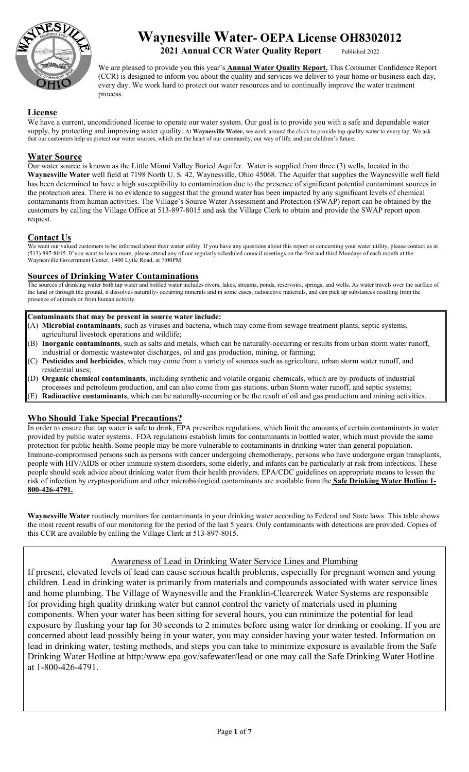

# **Waynesville Water- OEPA License OH8302012**

**2021 Annual CCR Water Quality Report** 

We are pleased to provide you this year's **Annual Water Quality Report.** This Consumer Confidence Report (CCR) is designed to inform you about the quality and services we deliver to your home or business each day, every day. We work hard to protect our water resources and to continually improve the water treatment process.

#### **License**

We have a current, unconditioned license to operate our water system. Our goal is to provide you with a safe and dependable water supply, by protecting and improving water quality. At **Waynesville Water,** we work around the clock to provide top quality water to every tap. We ask that our customers help us protect our water sources, which are the heart of our community, our way of life, and our children's future.

#### **Water Source**

Our water source is known as the Little Miami Valley Buried Aquifer. Water is supplied from three (3) wells, located in the **Waynesville Water** well field at 7198 North U. S. 42, Waynesville, Ohio 45068. The Aquifer that supplies the Waynesville well field has been determined to have a high susceptibility to contamination due to the presence of significant potential contaminant sources in the protection area. There is no evidence to suggest that the ground water has been impacted by any significant levels of chemical contaminants from human activities. The Village's Source Water Assessment and Protection (SWAP) report can be obtained by the customers by calling the Village Office at 513-897-8015 and ask the Village Clerk to obtain and provide the SWAP report upon request.

#### **Contact Us**

We want our valued customers to be informed about their water utility. If you have any questions about this report or concerning your water utility, please contact us at (513) 897-8015. If you want to learn more, please attend any of our regularly scheduled council meetings on the first and third Mondays of each month at the Waynesville Government Center, 1400 Lytle Road, at 7:00PM.

#### **Sources of Drinking Water Contaminations**

The sources of drinking water both tap water and bottled water includes rivers, lakes, streams, ponds, reservoirs, springs, and wells. As water travels over the surface of the land or through the ground, it dissolves naturally- occurring minerals and in some cases, radioactive materials, and can pick up substances resulting from the presence of animals or from human activity.

#### **Contaminants that may be present in source water include:**

- (A) **Microbial contaminants**, such as viruses and bacteria, which may come from sewage treatment plants, septic systems, agricultural livestock operations and wildlife;
- (B) **Inorganic contaminants**, such as salts and metals, which can be naturally-occurring or results from urban storm water runoff, industrial or domestic wastewater discharges, oil and gas production, mining, or farming;
- (C) **Pesticides and herbicides**, which may come from a variety of sources such as agriculture, urban storm water runoff, and residential uses;
- (D) **Organic chemical contaminants**, including synthetic and volatile organic chemicals, which are by-products of industrial
- processes and petroleum production, and can also come from gas stations, urban Storm water runoff, and septic systems;
- (E) **Radioactive contaminants**, which can be naturally-occurring or be the result of oil and gas production and mining activities.

#### **Who Should Take Special Precautions?**

In order to ensure that tap water is safe to drink, EPA prescribes regulations, which limit the amounts of certain contaminants in water provided by public water systems. FDA regulations establish limits for contaminants in bottled water, which must provide the same protection for public health. Some people may be more vulnerable to contaminants in drinking water than general population. Immune-compromised persons such as persons with cancer undergoing chemotherapy, persons who have undergone organ transplants, people with HIV/AIDS or other immune system disorders, some elderly, and infants can be particularly at risk from infections. These people should seek advice about drinking water from their health providers. EPA/CDC guidelines on appropriate means to lessen the risk of infection by cryptosporidium and other microbiological contaminants are available from the **Safe Drinking Water Hotline 1- 800-426-4791.** 

**Waynesville Water** routinely monitors for contaminants in your drinking water according to Federal and State laws. This table shows the most recent results of our monitoring for the period of the last 5 years. Only contaminants with detections are provided. Copies of this CCR are available by calling the Village Clerk at 513-897-8015.

#### Awareness of Lead in Drinking Water Service Lines and Plumbing

If present, elevated levels of lead can cause serious health problems, especially for pregnant women and young children. Lead in drinking water is primarily from materials and compounds associated with water service lines and home plumbing. The Village of Waynesville and the Franklin-Clearcreek Water Systems are responsible for providing high quality drinking water but cannot control the variety of materials used in pluming components. When your water has been sitting for several hours, you can minimize the potential for lead exposure by flushing your tap for 30 seconds to 2 minutes before using water for drinking or cooking. If you are concerned about lead possibly being in your water, you may consider having your water tested. Information on lead in drinking water, testing methods, and steps you can take to minimize exposure is available from the Safe Drinking Water Hotline at http:/www.epa.gov/safewater/lead or one may call the Safe Drinking Water Hotline at 1-800-426-4791.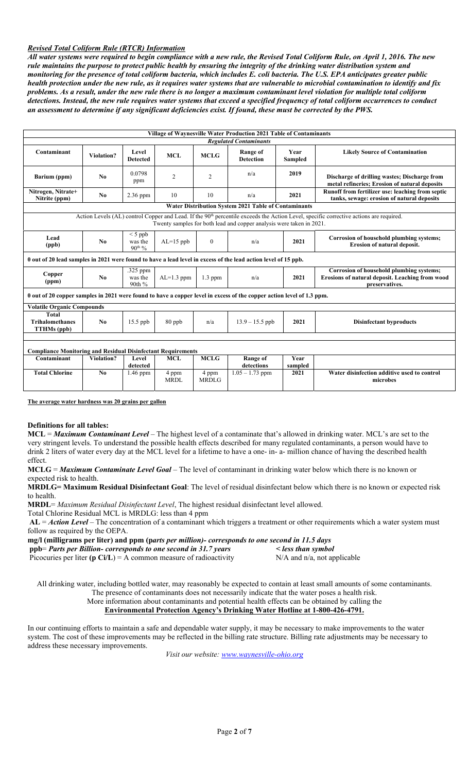#### *Revised Total Coliform Rule (RTCR) Information*

*All water systems were required to begin compliance with a new rule, the Revised Total Coliform Rule, on April 1, 2016. The new rule maintains the purpose to protect public health by ensuring the integrity of the drinking water distribution system and monitoring for the presence of total coliform bacteria, which includes E. coli bacteria. The U.S. EPA anticipates greater public health protection under the new rule, as it requires water systems that are vulnerable to microbial contamination to identify and fix problems. As a result, under the new rule there is no longer a maximum contaminant level violation for multiple total coliform detections. Instead, the new rule requires water systems that exceed a specified frequency of total coliform occurrences to conduct an assessment to determine if any significant deficiencies exist. If found, these must be corrected by the PWS.*

| Village of Waynesville Water Production 2021 Table of Contaminants<br><b>Regulated Contaminants</b>                   |                                                                                                                                                                                                                            |                                     |                      |                       |                                                      |                        |                                                                                                               |  |  |  |
|-----------------------------------------------------------------------------------------------------------------------|----------------------------------------------------------------------------------------------------------------------------------------------------------------------------------------------------------------------------|-------------------------------------|----------------------|-----------------------|------------------------------------------------------|------------------------|---------------------------------------------------------------------------------------------------------------|--|--|--|
| Contaminant                                                                                                           | <b>Violation?</b>                                                                                                                                                                                                          | Level<br><b>Detected</b>            | <b>MCL</b>           | <b>MCLG</b>           | <b>Range of</b><br><b>Detection</b>                  | Year<br><b>Sampled</b> | <b>Likely Source of Contamination</b>                                                                         |  |  |  |
| Barium (ppm)                                                                                                          | No                                                                                                                                                                                                                         | 0.0798<br>ppm                       | 2                    | 2                     | n/a                                                  | 2019                   | Discharge of drilling wastes; Discharge from<br>metal refineries; Erosion of natural deposits                 |  |  |  |
| Nitrogen, Nitrate+<br>Nitrite (ppm)                                                                                   | No                                                                                                                                                                                                                         | 2.36 ppm                            | 10                   | 10                    | n/a                                                  | 2021                   | Runoff from fertilizer use: leaching from septic<br>tanks, sewage: erosion of natural deposits                |  |  |  |
|                                                                                                                       |                                                                                                                                                                                                                            |                                     |                      |                       | Water Distribution System 2021 Table of Contaminants |                        |                                                                                                               |  |  |  |
|                                                                                                                       | Action Levels (AL) control Copper and Lead. If the 90 <sup>th</sup> percentile exceeds the Action Level, specific corrective actions are required.<br>Twenty samples for both lead and copper analysis were taken in 2021. |                                     |                      |                       |                                                      |                        |                                                                                                               |  |  |  |
| Lead<br>(ppb)                                                                                                         | No                                                                                                                                                                                                                         | $<$ 5 ppb<br>was the<br>$90^{th}$ % | $AL=15$ ppb          | $\mathbf{0}$          | n/a                                                  | 2021                   | Corrosion of household plumbing systems;<br>Erosion of natural deposit.                                       |  |  |  |
| 0 out of 20 lead samples in 2021 were found to have a lead level in excess of the lead action level of 15 ppb.        |                                                                                                                                                                                                                            |                                     |                      |                       |                                                      |                        |                                                                                                               |  |  |  |
| Copper<br>(ppm)                                                                                                       | N <sub>0</sub>                                                                                                                                                                                                             | .325 ppm<br>was the<br>90th %       | $AL=1.3$ ppm         | $1.3$ ppm             | n/a                                                  | 2021                   | Corrosion of household plumbing systems;<br>Erosions of natural deposit. Leaching from wood<br>preservatives. |  |  |  |
| 0 out of 20 copper samples in 2021 were found to have a copper level in excess of the copper action level of 1.3 ppm. |                                                                                                                                                                                                                            |                                     |                      |                       |                                                      |                        |                                                                                                               |  |  |  |
| <b>Volatile Organic Compounds</b>                                                                                     |                                                                                                                                                                                                                            |                                     |                      |                       |                                                      |                        |                                                                                                               |  |  |  |
| Total<br><b>Trihalomethanes</b><br><b>TTHMs</b> (ppb)                                                                 | No                                                                                                                                                                                                                         | $15.5$ ppb                          | 80 ppb               | n/a                   | $13.9 - 15.5$ ppb                                    | 2021                   | <b>Disinfectant byproducts</b>                                                                                |  |  |  |
| <b>Compliance Monitoring and Residual Disinfectant Requirements</b>                                                   |                                                                                                                                                                                                                            |                                     |                      |                       |                                                      |                        |                                                                                                               |  |  |  |
| Contaminant                                                                                                           | Violation?                                                                                                                                                                                                                 | Level<br>detected                   | <b>MCL</b>           | <b>MCLG</b>           | Range of<br>detections                               | Year<br>sampled        |                                                                                                               |  |  |  |
| <b>Total Chlorine</b>                                                                                                 | $\mathbf{N_0}$                                                                                                                                                                                                             | $1.46$ ppm                          | 4 ppm<br><b>MRDL</b> | 4 ppm<br><b>MRDLG</b> | $1.05 - 1.73$ ppm                                    | 2021                   | Water disinfection additive used to control<br>microbes                                                       |  |  |  |

**The average water hardness was 20 grains per gallon** 

#### **Definitions for all tables:**

**MCL** = *Maximum Contaminant Level* – The highest level of a contaminate that's allowed in drinking water. MCL's are set to the very stringent levels. To understand the possible health effects described for many regulated contaminants, a person would have to drink 2 liters of water every day at the MCL level for a lifetime to have a one- in- a- million chance of having the described health effect.

**MCLG** = *Maximum Contaminate Level Goal –* The level of contaminant in drinking water below which there is no known or expected risk to health.

**MRDLG= Maximum Residual Disinfectant Goal**: The level of residual disinfectant below which there is no known or expected risk to health.

**MRDL**= *Maximum Residual Disinfectant Level*, The highest residual disinfectant level allowed.

Total Chlorine Residual MCL is MRDLG: less than 4 ppm

**AL** = *Action Level* – The concentration of a contaminant which triggers a treatment or other requirements which a water system must follow as required by the OEPA.

**mg/l (milligrams per liter) and ppm (p***arts per million)- corresponds to one second in 11.5 days*  **ppb**= *Parts per Billion- corresponds to one second in 31.7 years < less than symbol* 

Picocuries per liter **(p Ci/L)** = A common measure of radioactivity N/A and n/a, not applicable

All drinking water, including bottled water, may reasonably be expected to contain at least small amounts of some contaminants. The presence of contaminants does not necessarily indicate that the water poses a health risk.

More information about contaminants and potential health effects can be obtained by calling the

#### **Environmental Protection Agency's Drinking Water Hotline at 1-800-426-4791.**

In our continuing efforts to maintain a safe and dependable water supply, it may be necessary to make improvements to the water system. The cost of these improvements may be reflected in the billing rate structure. Billing rate adjustments may be necessary to address these necessary improvements.

*Visit our website: www.waynesville-ohio.org*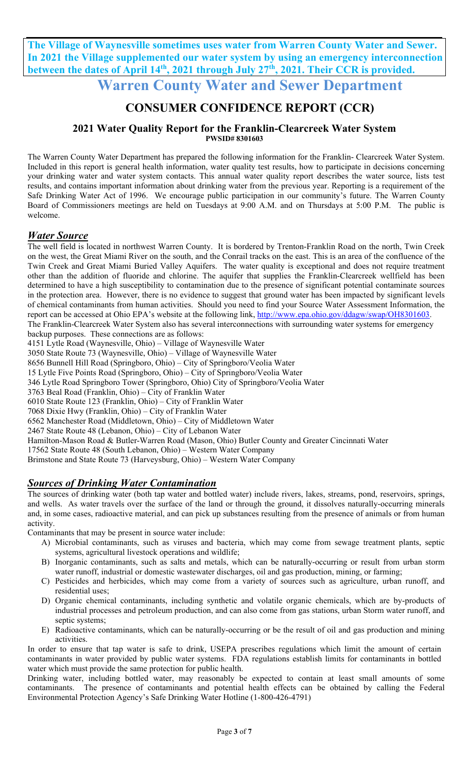**The Village of Waynesville sometimes uses water from Warren County Water and Sewer. In 2021 the Village supplemented our water system by using an emergency interconnection**  between the dates of April 14<sup>th</sup>, 2021 through July 27<sup>th</sup>, 2021. Their CCR is provided.

**Warren County Water and Sewer Department** 

## **CONSUMER CONFIDENCE REPORT (CCR)**

#### **2021 Water Quality Report for the Franklin-Clearcreek Water System PWSID# 8301603**

The Warren County Water Department has prepared the following information for the Franklin- Clearcreek Water System. Included in this report is general health information, water quality test results, how to participate in decisions concerning your drinking water and water system contacts. This annual water quality report describes the water source, lists test results, and contains important information about drinking water from the previous year. Reporting is a requirement of the Safe Drinking Water Act of 1996. We encourage public participation in our community's future. The Warren County Board of Commissioners meetings are held on Tuesdays at 9:00 A.M. and on Thursdays at 5:00 P.M. The public is welcome.

## *Water Source*

The well field is located in northwest Warren County. It is bordered by Trenton-Franklin Road on the north, Twin Creek on the west, the Great Miami River on the south, and the Conrail tracks on the east. This is an area of the confluence of the Twin Creek and Great Miami Buried Valley Aquifers. The water quality is exceptional and does not require treatment other than the addition of fluoride and chlorine. The aquifer that supplies the Franklin-Clearcreek wellfield has been determined to have a high susceptibility to contamination due to the presence of significant potential contaminate sources in the protection area. However, there is no evidence to suggest that ground water has been impacted by significant levels of chemical contaminants from human activities. Should you need to find your Source Water Assessment Information, the report can be accessed at Ohio EPA's website at the following link, http://www.epa.ohio.gov/ddagw/swap/OH8301603. The Franklin-Clearcreek Water System also has several interconnections with surrounding water systems for emergency

backup purposes. These connections are as follows:

4151 Lytle Road (Waynesville, Ohio) – Village of Waynesville Water

3050 State Route 73 (Waynesville, Ohio) – Village of Waynesville Water

8656 Bunnell Hill Road (Springboro, Ohio) – City of Springboro/Veolia Water

15 Lytle Five Points Road (Springboro, Ohio) – City of Springboro/Veolia Water

346 Lytle Road Springboro Tower (Springboro, Ohio) City of Springboro/Veolia Water

3763 Beal Road (Franklin, Ohio) – City of Franklin Water

6010 State Route 123 (Franklin, Ohio) – City of Franklin Water

7068 Dixie Hwy (Franklin, Ohio) – City of Franklin Water

6562 Manchester Road (Middletown, Ohio) – City of Middletown Water

2467 State Route 48 (Lebanon, Ohio) – City of Lebanon Water

Hamilton-Mason Road & Butler-Warren Road (Mason, Ohio) Butler County and Greater Cincinnati Water

17562 State Route 48 (South Lebanon, Ohio) – Western Water Company

Brimstone and State Route 73 (Harveysburg, Ohio) – Western Water Company

## *Sources of Drinking Water Contamination*

The sources of drinking water (both tap water and bottled water) include rivers, lakes, streams, pond, reservoirs, springs, and wells. As water travels over the surface of the land or through the ground, it dissolves naturally-occurring minerals and, in some cases, radioactive material, and can pick up substances resulting from the presence of animals or from human activity.

Contaminants that may be present in source water include:

- A) Microbial contaminants, such as viruses and bacteria, which may come from sewage treatment plants, septic systems, agricultural livestock operations and wildlife;
- B) Inorganic contaminants, such as salts and metals, which can be naturally-occurring or result from urban storm water runoff, industrial or domestic wastewater discharges, oil and gas production, mining, or farming;
- C) Pesticides and herbicides, which may come from a variety of sources such as agriculture, urban runoff, and residential uses;
- D) Organic chemical contaminants, including synthetic and volatile organic chemicals, which are by-products of industrial processes and petroleum production, and can also come from gas stations, urban Storm water runoff, and septic systems;
- E) Radioactive contaminants, which can be naturally-occurring or be the result of oil and gas production and mining activities.

In order to ensure that tap water is safe to drink, USEPA prescribes regulations which limit the amount of certain contaminants in water provided by public water systems. FDA regulations establish limits for contaminants in bottled water which must provide the same protection for public health.

Drinking water, including bottled water, may reasonably be expected to contain at least small amounts of some contaminants. The presence of contaminants and potential health effects can be obtained by calling the Federal Environmental Protection Agency's Safe Drinking Water Hotline (1-800-426-4791)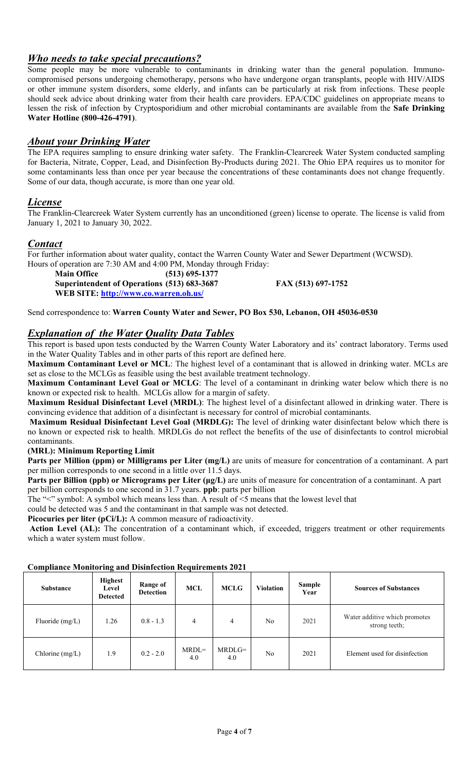## *Who needs to take special precautions?*

Some people may be more vulnerable to contaminants in drinking water than the general population. Immunocompromised persons undergoing chemotherapy, persons who have undergone organ transplants, people with HIV/AIDS or other immune system disorders, some elderly, and infants can be particularly at risk from infections. These people should seek advice about drinking water from their health care providers. EPA/CDC guidelines on appropriate means to lessen the risk of infection by Cryptosporidium and other microbial contaminants are available from the **Safe Drinking Water Hotline (800-426-4791)**.

## *About your Drinking Water*

The EPA requires sampling to ensure drinking water safety. The Franklin-Clearcreek Water System conducted sampling for Bacteria, Nitrate, Copper, Lead, and Disinfection By-Products during 2021. The Ohio EPA requires us to monitor for some contaminants less than once per year because the concentrations of these contaminants does not change frequently. Some of our data, though accurate, is more than one year old.

## *License*

The Franklin-Clearcreek Water System currently has an unconditioned (green) license to operate. The license is valid from January 1, 2021 to January 30, 2022.

## *Contact*

For further information about water quality, contact the Warren County Water and Sewer Department (WCWSD). Hours of operation are 7:30 AM and 4:00 PM, Monday through Friday:

 **Main Office (513) 695-1377 Superintendent of Operations (513) 683-3687 FAX (513) 697-1752 WEB SITE: http://www.co.warren.oh.us/**

Send correspondence to: **Warren County Water and Sewer, PO Box 530, Lebanon, OH 45036-0530** 

## *Explanation of the Water Quality Data Tables*

This report is based upon tests conducted by the Warren County Water Laboratory and its' contract laboratory. Terms used in the Water Quality Tables and in other parts of this report are defined here.

**Maximum Contaminant Level or MCL**: The highest level of a contaminant that is allowed in drinking water. MCLs are set as close to the MCLGs as feasible using the best available treatment technology.

**Maximum Contaminant Level Goal or MCLG**: The level of a contaminant in drinking water below which there is no known or expected risk to health. MCLGs allow for a margin of safety.

**Maximum Residual Disinfectant Level (MRDL)**: The highest level of a disinfectant allowed in drinking water. There is convincing evidence that addition of a disinfectant is necessary for control of microbial contaminants.

 **Maximum Residual Disinfectant Level Goal (MRDLG):** The level of drinking water disinfectant below which there is no known or expected risk to health. MRDLGs do not reflect the benefits of the use of disinfectants to control microbial contaminants.

#### **(MRL): Minimum Reporting Limit**

**Parts per Million (ppm) or Milligrams per Liter (mg/L)** are units of measure for concentration of a contaminant. A part per million corresponds to one second in a little over 11.5 days.

**Parts per Billion (ppb) or Micrograms per Liter (μg/L)** are units of measure for concentration of a contaminant. A part per billion corresponds to one second in 31.7 years. **ppb**: parts per billion

The "<" symbol: A symbol which means less than. A result of <5 means that the lowest level that

could be detected was 5 and the contaminant in that sample was not detected.

**Picocuries per liter (pCi/L):** A common measure of radioactivity.

Action Level (AL): The concentration of a contaminant which, if exceeded, triggers treatment or other requirements which a water system must follow.

| <u>compannee receivering max succeeded reequerements some</u> |                                            |                                            |                |                 |                  |                       |                                                |  |  |
|---------------------------------------------------------------|--------------------------------------------|--------------------------------------------|----------------|-----------------|------------------|-----------------------|------------------------------------------------|--|--|
| Substance                                                     | <b>Highest</b><br>Level<br><b>Detected</b> | Range of<br><b>MCL</b><br><b>Detection</b> |                | MCLG            | <b>Violation</b> | <b>Sample</b><br>Year | <b>Sources of Substances</b>                   |  |  |
| Fluoride $(mg/L)$                                             | 1.26                                       | $0.8 - 1.3$                                | $\overline{4}$ | $\overline{4}$  | N <sub>o</sub>   | 2021                  | Water additive which promotes<br>strong teeth; |  |  |
| Chlorine $(mg/L)$                                             | 1.9                                        | $0.2 - 2.0$                                | $MRDL=$<br>4.0 | $MRDLG=$<br>4.0 | No               | 2021                  | Element used for disinfection                  |  |  |

#### **Compliance Monitoring and Disinfection Requirements 2021**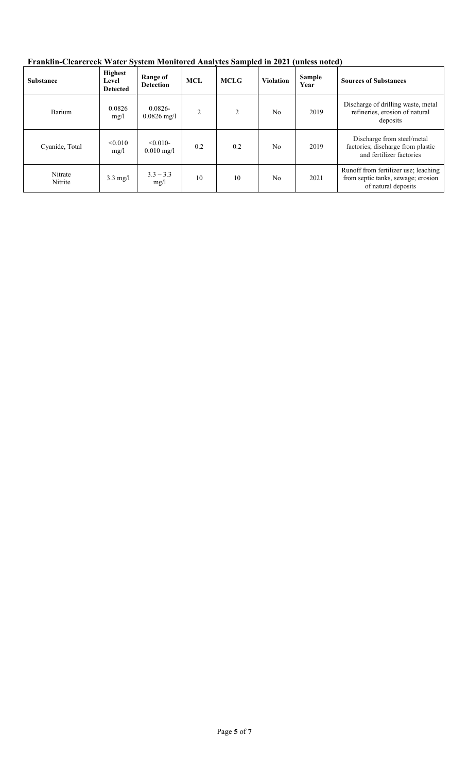| <b>Substance</b>   | Highest<br>Level<br><b>Detected</b> | Range of<br><b>Detection</b>        | <b>MCL</b>     | <b>MCLG</b> | <b>Violation</b> | <b>Sample</b><br>Year | <b>Sources of Substances</b>                                                                      |
|--------------------|-------------------------------------|-------------------------------------|----------------|-------------|------------------|-----------------------|---------------------------------------------------------------------------------------------------|
| Barium             | 0.0826<br>mg/1                      | $0.0826 -$<br>$0.0826 \text{ mg}/1$ | $\overline{2}$ | 2           | N <sub>0</sub>   | 2019                  | Discharge of drilling waste, metal<br>refineries, erosion of natural<br>deposits                  |
| Cyanide, Total     | < 0.010<br>mg/l                     | $< 0.010 -$<br>$0.010 \text{ mg/l}$ | 0.2            | 0.2         | N <sub>0</sub>   | 2019                  | Discharge from steel/metal<br>factories; discharge from plastic<br>and fertilizer factories       |
| Nitrate<br>Nitrite | $3.3 \text{ mg}/l$                  | $3.3 - 3.3$<br>mg/1                 | 10             | 10          | No               | 2021                  | Runoff from fertilizer use; leaching<br>from septic tanks, sewage; erosion<br>of natural deposits |

**Franklin-Clearcreek Water System Monitored Analytes Sampled in 2021 (unless noted)**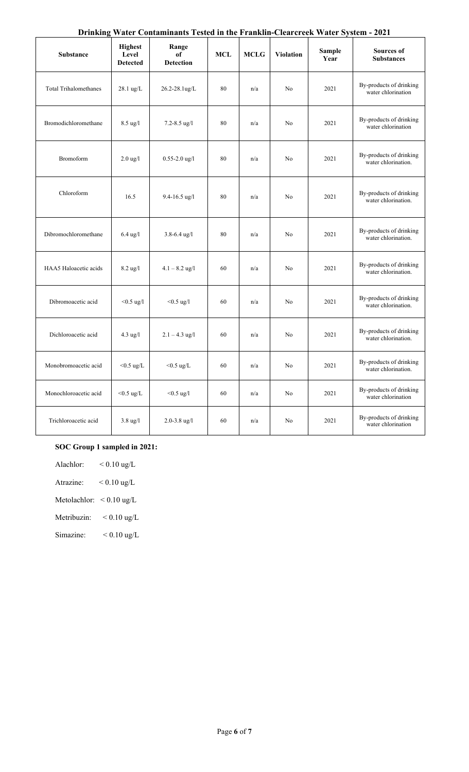|  | Drinking Water Contaminants Tested in the Franklin-Clearcreek Water System - 2021 |  |  |  |  |
|--|-----------------------------------------------------------------------------------|--|--|--|--|
|  |                                                                                   |  |  |  |  |

| <b>Substance</b>             | <b>Highest</b><br>Level<br><b>Detected</b> | Range<br>of<br><b>Detection</b> | <b>MCL</b> | <b>MCLG</b> | <b>Violation</b> | <b>Sample</b><br>Year | <b>Sources of</b><br><b>Substances</b>         |
|------------------------------|--------------------------------------------|---------------------------------|------------|-------------|------------------|-----------------------|------------------------------------------------|
| <b>Total Trihalomethanes</b> | $28.1 \text{ ug/L}$                        | $26.2 - 28.1$ ug/L              | 80         | n/a         | N <sub>0</sub>   | 2021                  | By-products of drinking<br>water chlorination  |
| Bromodichloromethane         | $8.5 \text{ ug}/l$                         | $7.2 - 8.5$ ug/l                | 80         | n/a         | No               | 2021                  | By-products of drinking<br>water chlorination  |
| Bromoform                    | $2.0$ ug/l                                 | $0.55 - 2.0$ ug/l               | 80         | n/a         | No               | 2021                  | By-products of drinking<br>water chlorination. |
| Chloroform                   | 16.5                                       | $9.4 - 16.5$ ug/l               | 80         | n/a         | No               | 2021                  | By-products of drinking<br>water chlorination. |
| Dibromochloromethane         | $6.4 \text{ ug}/l$                         | $3.8 - 6.4$ ug/l                | 80         | n/a         | No               | 2021                  | By-products of drinking<br>water chlorination. |
| HAA5 Haloacetic acids        | $8.2$ ug/l                                 | $4.1 - 8.2$ ug/l                | 60         | n/a         | No               | 2021                  | By-products of drinking<br>water chlorination. |
| Dibromoacetic acid           | $< 0.5$ ug/l                               | $< 0.5$ ug/l                    | 60         | n/a         | No               | 2021                  | By-products of drinking<br>water chlorination. |
| Dichloroacetic acid          | $4.3 \text{ ug}/l$                         | $2.1 - 4.3$ ug/l                | 60         | n/a         | No               | 2021                  | By-products of drinking<br>water chlorination. |
| Monobromoacetic acid         | $<$ 0.5 ug/L                               | $<$ 0.5 ug/L                    | 60         | n/a         | No               | 2021                  | By-products of drinking<br>water chlorination. |
| Monochloroacetic acid        | $<$ 0.5 ug/L                               | $< 0.5$ ug/l                    | 60         | n/a         | No               | 2021                  | By-products of drinking<br>water chlorination  |
| Trichloroacetic acid         | $3.8 \text{ ug}/l$                         | $2.0 - 3.8$ ug/l                | 60         | n/a         | No               | 2021                  | By-products of drinking<br>water chlorination  |

## **SOC Group 1 sampled in 2021:**

| Alachlor: | $< 0.10 \text{ ug/L}$ |
|-----------|-----------------------|
|           |                       |

Atrazine: < 0.10 ug/L

Metolachlor: < 0.10 ug/L

Metribuzin: < 0.10 ug/L

Simazine:  $< 0.10$  ug/L